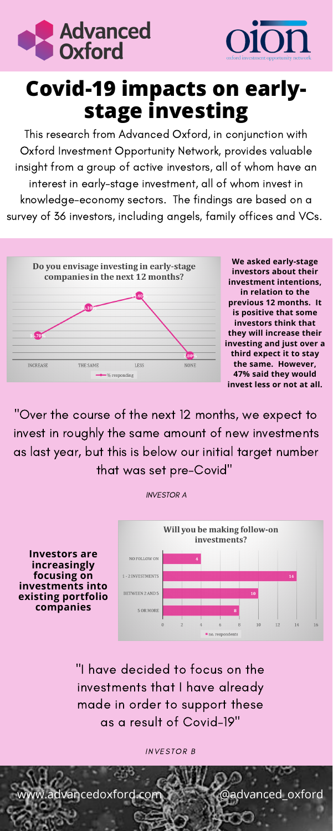"Over the course of the next 12 months, we expect to invest in roughly the same amount of new investments as last year, but this is below our initial target number that was set pre-Covid"

INVESTOR B

w.advancedoxford.**com @advanced\_oxford** 

"I have decided to focus on the investments that I have already made in order to support these as a result of Covid-19"

This research from Advanced Oxford, in conjunction with Oxford Investment Opportunity Network, provides valuable insight from a group of active investors, all of whom have an interest in early-stage investment, all of whom invest in knowledge-economy sectors. The findings are based on a survey of 36 investors, including angels, family offices and VCs.







## **Covid-19 impacts on earlystage investing**

**We asked early-stage investors about their investment intentions, in relation to the previous 12 months. It is positive that some investors think that they will increase their investing and just over a third expect it to stay the same. However, 47% said they would invest less or not at all.**

**Investors are increasingly focusing on investments into existing portfolio companies**